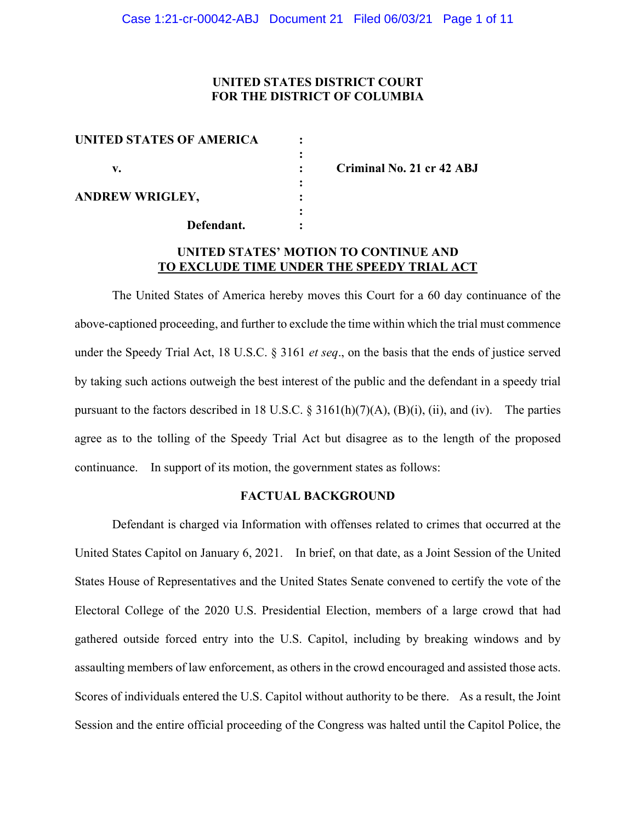# **UNITED STATES DISTRICT COURT FOR THE DISTRICT OF COLUMBIA**

| <b>UNITED STATES OF AMERICA</b> |  |
|---------------------------------|--|
| v.                              |  |
| <b>ANDREW WRIGLEY,</b>          |  |
| Defendant.                      |  |

**v. : Criminal No. 21 cr 42 ABJ**

# **UNITED STATES' MOTION TO CONTINUE AND TO EXCLUDE TIME UNDER THE SPEEDY TRIAL ACT**

The United States of America hereby moves this Court for a 60 day continuance of the above-captioned proceeding, and further to exclude the time within which the trial must commence under the Speedy Trial Act, 18 U.S.C. § 3161 *et seq*., on the basis that the ends of justice served by taking such actions outweigh the best interest of the public and the defendant in a speedy trial pursuant to the factors described in 18 U.S.C.  $\S$  3161(h)(7)(A), (B)(i), (ii), and (iv). The parties agree as to the tolling of the Speedy Trial Act but disagree as to the length of the proposed continuance. In support of its motion, the government states as follows:

#### **FACTUAL BACKGROUND**

Defendant is charged via Information with offenses related to crimes that occurred at the United States Capitol on January 6, 2021. In brief, on that date, as a Joint Session of the United States House of Representatives and the United States Senate convened to certify the vote of the Electoral College of the 2020 U.S. Presidential Election, members of a large crowd that had gathered outside forced entry into the U.S. Capitol, including by breaking windows and by assaulting members of law enforcement, as others in the crowd encouraged and assisted those acts. Scores of individuals entered the U.S. Capitol without authority to be there. As a result, the Joint Session and the entire official proceeding of the Congress was halted until the Capitol Police, the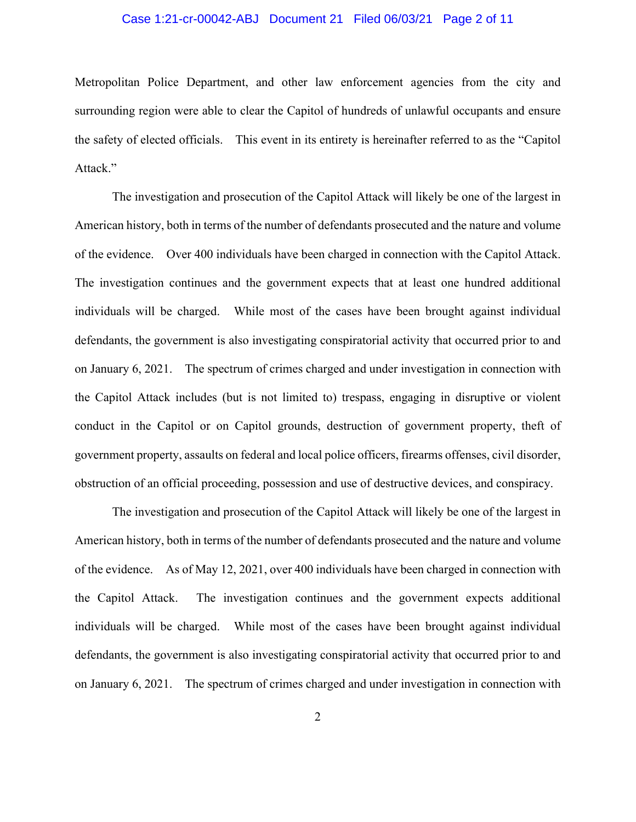# Case 1:21-cr-00042-ABJ Document 21 Filed 06/03/21 Page 2 of 11

Metropolitan Police Department, and other law enforcement agencies from the city and surrounding region were able to clear the Capitol of hundreds of unlawful occupants and ensure the safety of elected officials. This event in its entirety is hereinafter referred to as the "Capitol Attack."

The investigation and prosecution of the Capitol Attack will likely be one of the largest in American history, both in terms of the number of defendants prosecuted and the nature and volume of the evidence. Over 400 individuals have been charged in connection with the Capitol Attack. The investigation continues and the government expects that at least one hundred additional individuals will be charged. While most of the cases have been brought against individual defendants, the government is also investigating conspiratorial activity that occurred prior to and on January 6, 2021. The spectrum of crimes charged and under investigation in connection with the Capitol Attack includes (but is not limited to) trespass, engaging in disruptive or violent conduct in the Capitol or on Capitol grounds, destruction of government property, theft of government property, assaults on federal and local police officers, firearms offenses, civil disorder, obstruction of an official proceeding, possession and use of destructive devices, and conspiracy.

The investigation and prosecution of the Capitol Attack will likely be one of the largest in American history, both in terms of the number of defendants prosecuted and the nature and volume of the evidence. As of May 12, 2021, over 400 individuals have been charged in connection with the Capitol Attack. The investigation continues and the government expects additional individuals will be charged. While most of the cases have been brought against individual defendants, the government is also investigating conspiratorial activity that occurred prior to and on January 6, 2021. The spectrum of crimes charged and under investigation in connection with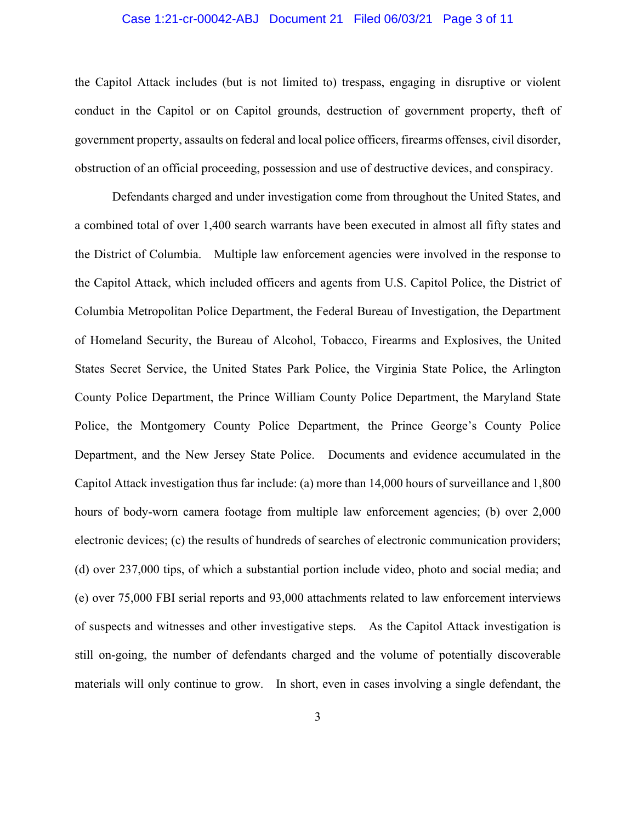## Case 1:21-cr-00042-ABJ Document 21 Filed 06/03/21 Page 3 of 11

the Capitol Attack includes (but is not limited to) trespass, engaging in disruptive or violent conduct in the Capitol or on Capitol grounds, destruction of government property, theft of government property, assaults on federal and local police officers, firearms offenses, civil disorder, obstruction of an official proceeding, possession and use of destructive devices, and conspiracy.

Defendants charged and under investigation come from throughout the United States, and a combined total of over 1,400 search warrants have been executed in almost all fifty states and the District of Columbia. Multiple law enforcement agencies were involved in the response to the Capitol Attack, which included officers and agents from U.S. Capitol Police, the District of Columbia Metropolitan Police Department, the Federal Bureau of Investigation, the Department of Homeland Security, the Bureau of Alcohol, Tobacco, Firearms and Explosives, the United States Secret Service, the United States Park Police, the Virginia State Police, the Arlington County Police Department, the Prince William County Police Department, the Maryland State Police, the Montgomery County Police Department, the Prince George's County Police Department, and the New Jersey State Police. Documents and evidence accumulated in the Capitol Attack investigation thus far include: (a) more than 14,000 hours of surveillance and 1,800 hours of body-worn camera footage from multiple law enforcement agencies; (b) over 2,000 electronic devices; (c) the results of hundreds of searches of electronic communication providers; (d) over 237,000 tips, of which a substantial portion include video, photo and social media; and (e) over 75,000 FBI serial reports and 93,000 attachments related to law enforcement interviews of suspects and witnesses and other investigative steps. As the Capitol Attack investigation is still on-going, the number of defendants charged and the volume of potentially discoverable materials will only continue to grow. In short, even in cases involving a single defendant, the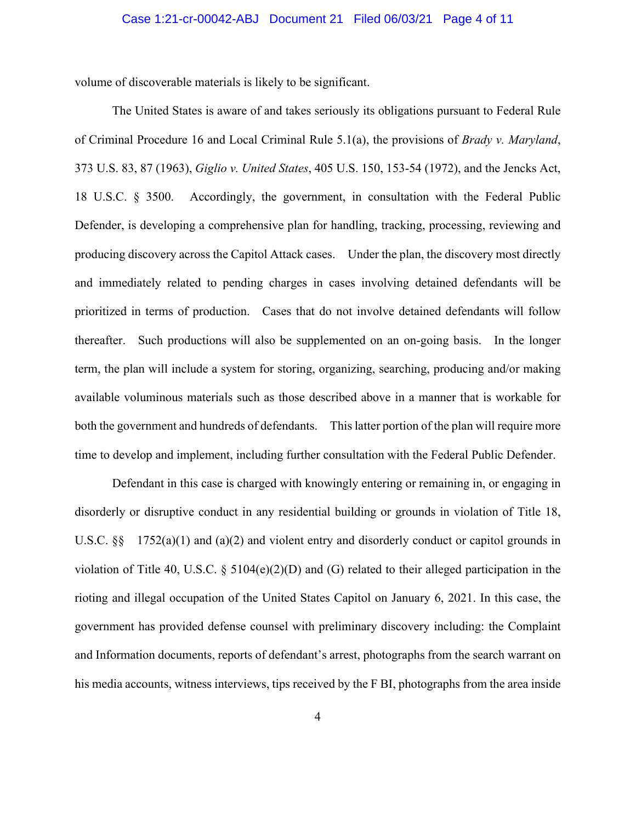### Case 1:21-cr-00042-ABJ Document 21 Filed 06/03/21 Page 4 of 11

volume of discoverable materials is likely to be significant.

The United States is aware of and takes seriously its obligations pursuant to Federal Rule of Criminal Procedure 16 and Local Criminal Rule 5.1(a), the provisions of *Brady v. Maryland*, 373 U.S. 83, 87 (1963), *Giglio v. United States*, 405 U.S. 150, 153-54 (1972), and the Jencks Act, 18 U.S.C. § 3500. Accordingly, the government, in consultation with the Federal Public Defender, is developing a comprehensive plan for handling, tracking, processing, reviewing and producing discovery across the Capitol Attack cases. Under the plan, the discovery most directly and immediately related to pending charges in cases involving detained defendants will be prioritized in terms of production. Cases that do not involve detained defendants will follow thereafter. Such productions will also be supplemented on an on-going basis. In the longer term, the plan will include a system for storing, organizing, searching, producing and/or making available voluminous materials such as those described above in a manner that is workable for both the government and hundreds of defendants. This latter portion of the plan will require more time to develop and implement, including further consultation with the Federal Public Defender.

Defendant in this case is charged with knowingly entering or remaining in, or engaging in disorderly or disruptive conduct in any residential building or grounds in violation of Title 18, U.S.C.  $\S$  1752(a)(1) and (a)(2) and violent entry and disorderly conduct or capitol grounds in violation of Title 40, U.S.C. § 5104(e)(2)(D) and (G) related to their alleged participation in the rioting and illegal occupation of the United States Capitol on January 6, 2021. In this case, the government has provided defense counsel with preliminary discovery including: the Complaint and Information documents, reports of defendant's arrest, photographs from the search warrant on his media accounts, witness interviews, tips received by the F BI, photographs from the area inside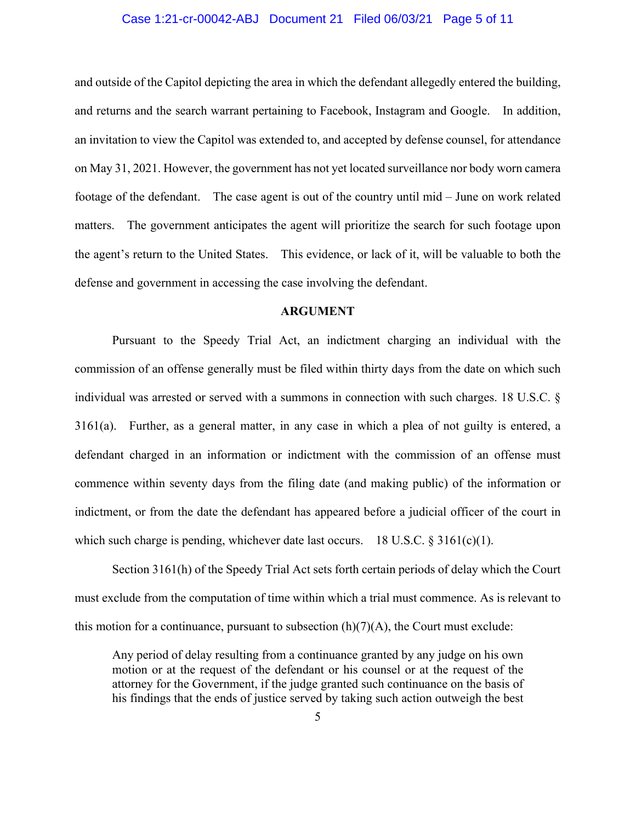## Case 1:21-cr-00042-ABJ Document 21 Filed 06/03/21 Page 5 of 11

and outside of the Capitol depicting the area in which the defendant allegedly entered the building, and returns and the search warrant pertaining to Facebook, Instagram and Google. In addition, an invitation to view the Capitol was extended to, and accepted by defense counsel, for attendance on May 31, 2021. However, the government has not yet located surveillance nor body worn camera footage of the defendant. The case agent is out of the country until mid – June on work related matters. The government anticipates the agent will prioritize the search for such footage upon the agent's return to the United States. This evidence, or lack of it, will be valuable to both the defense and government in accessing the case involving the defendant.

#### **ARGUMENT**

Pursuant to the Speedy Trial Act, an indictment charging an individual with the commission of an offense generally must be filed within thirty days from the date on which such individual was arrested or served with a summons in connection with such charges. 18 U.S.C. § 3161(a). Further, as a general matter, in any case in which a plea of not guilty is entered, a defendant charged in an information or indictment with the commission of an offense must commence within seventy days from the filing date (and making public) of the information or indictment, or from the date the defendant has appeared before a judicial officer of the court in which such charge is pending, whichever date last occurs. 18 U.S.C.  $\S 3161(c)(1)$ .

Section 3161(h) of the Speedy Trial Act sets forth certain periods of delay which the Court must exclude from the computation of time within which a trial must commence. As is relevant to this motion for a continuance, pursuant to subsection  $(h)(7)(A)$ , the Court must exclude:

Any period of delay resulting from a continuance granted by any judge on his own motion or at the request of the defendant or his counsel or at the request of the attorney for the Government, if the judge granted such continuance on the basis of his findings that the ends of justice served by taking such action outweigh the best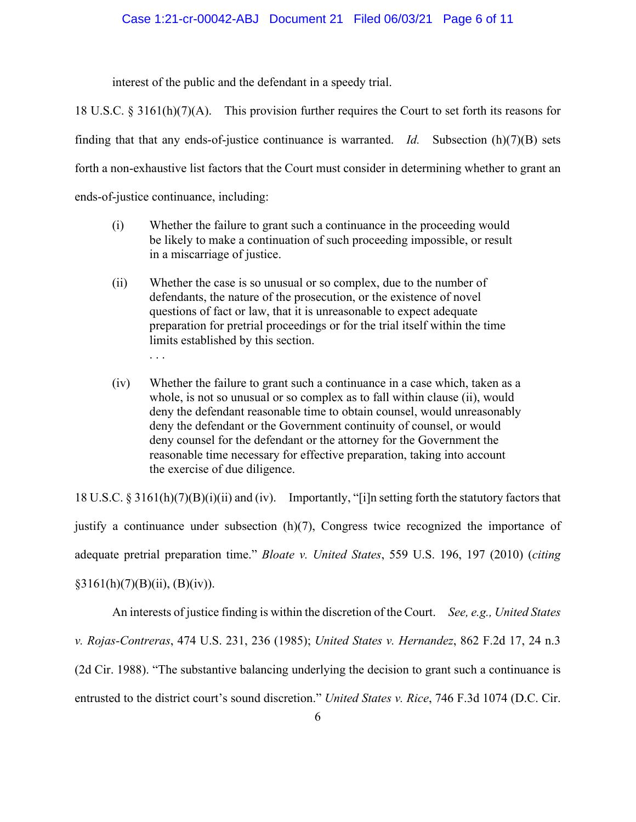interest of the public and the defendant in a speedy trial.

18 U.S.C.  $\S 3161(h)(7)(A)$ . This provision further requires the Court to set forth its reasons for finding that that any ends-of-justice continuance is warranted. *Id.* Subsection (h)(7)(B) sets forth a non-exhaustive list factors that the Court must consider in determining whether to grant an ends-of-justice continuance, including:

- (i) Whether the failure to grant such a continuance in the proceeding would be likely to make a continuation of such proceeding impossible, or result in a miscarriage of justice.
- (ii) Whether the case is so unusual or so complex, due to the number of defendants, the nature of the prosecution, or the existence of novel questions of fact or law, that it is unreasonable to expect adequate preparation for pretrial proceedings or for the trial itself within the time limits established by this section. . . .
- (iv) Whether the failure to grant such a continuance in a case which, taken as a whole, is not so unusual or so complex as to fall within clause (ii), would deny the defendant reasonable time to obtain counsel, would unreasonably deny the defendant or the Government continuity of counsel, or would deny counsel for the defendant or the attorney for the Government the reasonable time necessary for effective preparation, taking into account the exercise of due diligence.

18 U.S.C. § 3161(h)(7)(B)(i)(ii) and (iv). Importantly, "[i]n setting forth the statutory factors that justify a continuance under subsection (h)(7), Congress twice recognized the importance of adequate pretrial preparation time." *Bloate v. United States*, 559 U.S. 196, 197 (2010) (*citing*  $§3161(h)(7)(B)(ii), (B)(iv)).$ 

An interests of justice finding is within the discretion of the Court. *See, e.g., United States v. Rojas-Contreras*, 474 U.S. 231, 236 (1985); *United States v. Hernandez*, 862 F.2d 17, 24 n.3 (2d Cir. 1988). "The substantive balancing underlying the decision to grant such a continuance is entrusted to the district court's sound discretion." *United States v. Rice*, 746 F.3d 1074 (D.C. Cir.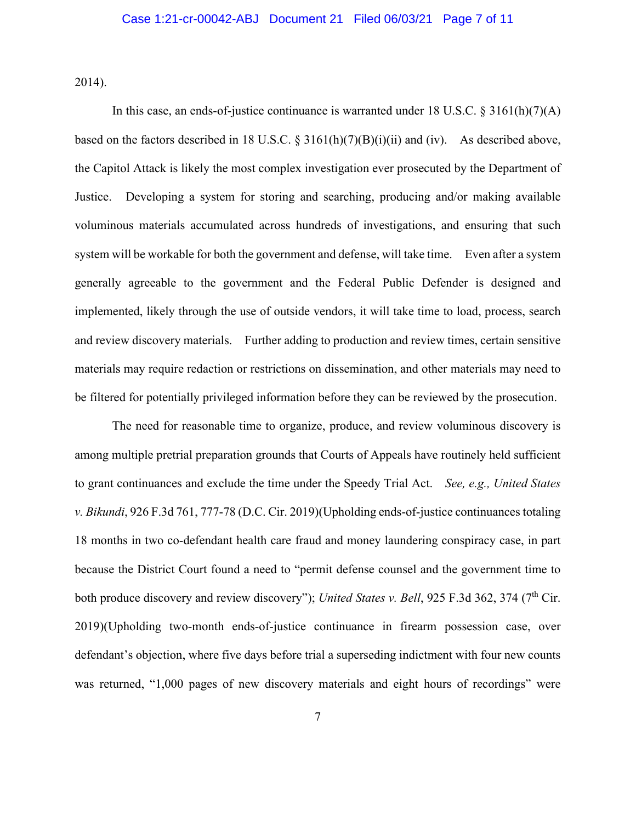2014).

In this case, an ends-of-justice continuance is warranted under 18 U.S.C. § 3161(h)(7)(A) based on the factors described in 18 U.S.C. § 3161(h)(7)(B)(i)(ii) and (iv). As described above, the Capitol Attack is likely the most complex investigation ever prosecuted by the Department of Justice. Developing a system for storing and searching, producing and/or making available voluminous materials accumulated across hundreds of investigations, and ensuring that such system will be workable for both the government and defense, will take time. Even after a system generally agreeable to the government and the Federal Public Defender is designed and implemented, likely through the use of outside vendors, it will take time to load, process, search and review discovery materials. Further adding to production and review times, certain sensitive materials may require redaction or restrictions on dissemination, and other materials may need to be filtered for potentially privileged information before they can be reviewed by the prosecution.

The need for reasonable time to organize, produce, and review voluminous discovery is among multiple pretrial preparation grounds that Courts of Appeals have routinely held sufficient to grant continuances and exclude the time under the Speedy Trial Act. *See, e.g., United States v. Bikundi*, 926 F.3d 761, 777-78 (D.C. Cir. 2019)(Upholding ends-of-justice continuances totaling 18 months in two co-defendant health care fraud and money laundering conspiracy case, in part because the District Court found a need to "permit defense counsel and the government time to both produce discovery and review discovery"); *United States v. Bell*, 925 F.3d 362, 374 (7<sup>th</sup> Cir. 2019)(Upholding two-month ends-of-justice continuance in firearm possession case, over defendant's objection, where five days before trial a superseding indictment with four new counts was returned, "1,000 pages of new discovery materials and eight hours of recordings" were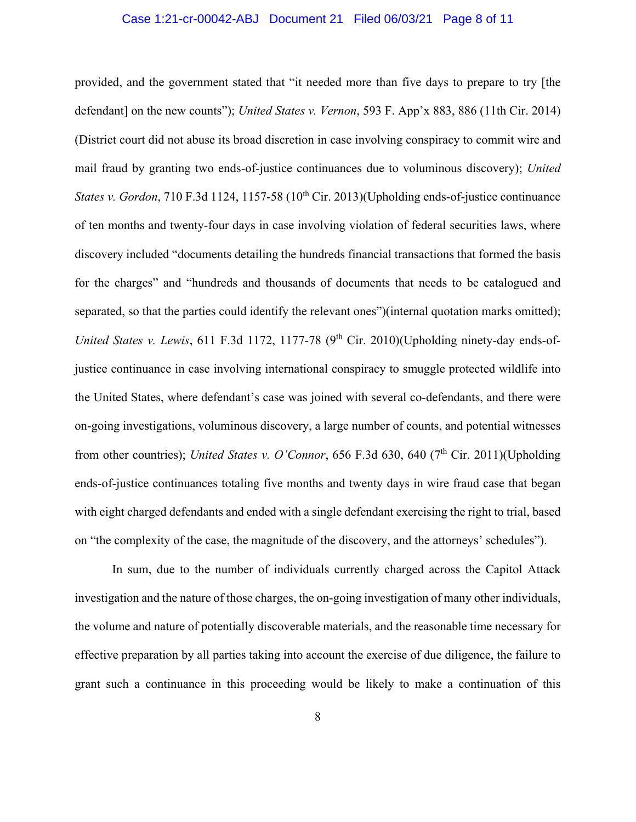# Case 1:21-cr-00042-ABJ Document 21 Filed 06/03/21 Page 8 of 11

provided, and the government stated that "it needed more than five days to prepare to try [the defendant] on the new counts"); *United States v. Vernon*, 593 F. App'x 883, 886 (11th Cir. 2014) (District court did not abuse its broad discretion in case involving conspiracy to commit wire and mail fraud by granting two ends-of-justice continuances due to voluminous discovery); *United States v. Gordon*, 710 F.3d 1124, 1157-58 (10<sup>th</sup> Cir. 2013)(Upholding ends-of-justice continuance of ten months and twenty-four days in case involving violation of federal securities laws, where discovery included "documents detailing the hundreds financial transactions that formed the basis for the charges" and "hundreds and thousands of documents that needs to be catalogued and separated, so that the parties could identify the relevant ones")(internal quotation marks omitted); *United States v. Lewis*, 611 F.3d 1172, 1177-78 (9<sup>th</sup> Cir. 2010)(Upholding ninety-day ends-ofjustice continuance in case involving international conspiracy to smuggle protected wildlife into the United States, where defendant's case was joined with several co-defendants, and there were on-going investigations, voluminous discovery, a large number of counts, and potential witnesses from other countries); *United States v. O'Connor*, 656 F.3d 630, 640 (7<sup>th</sup> Cir. 2011)(Upholding ends-of-justice continuances totaling five months and twenty days in wire fraud case that began with eight charged defendants and ended with a single defendant exercising the right to trial, based on "the complexity of the case, the magnitude of the discovery, and the attorneys' schedules").

In sum, due to the number of individuals currently charged across the Capitol Attack investigation and the nature of those charges, the on-going investigation of many other individuals, the volume and nature of potentially discoverable materials, and the reasonable time necessary for effective preparation by all parties taking into account the exercise of due diligence, the failure to grant such a continuance in this proceeding would be likely to make a continuation of this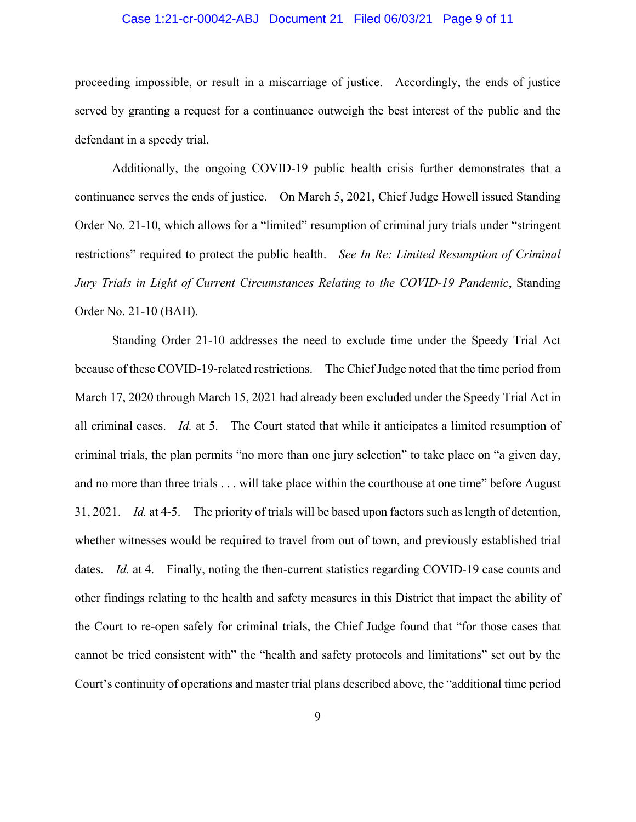# Case 1:21-cr-00042-ABJ Document 21 Filed 06/03/21 Page 9 of 11

proceeding impossible, or result in a miscarriage of justice. Accordingly, the ends of justice served by granting a request for a continuance outweigh the best interest of the public and the defendant in a speedy trial.

Additionally, the ongoing COVID-19 public health crisis further demonstrates that a continuance serves the ends of justice. On March 5, 2021, Chief Judge Howell issued Standing Order No. 21-10, which allows for a "limited" resumption of criminal jury trials under "stringent restrictions" required to protect the public health. *See In Re: Limited Resumption of Criminal Jury Trials in Light of Current Circumstances Relating to the COVID-19 Pandemic*, Standing Order No. 21-10 (BAH).

Standing Order 21-10 addresses the need to exclude time under the Speedy Trial Act because of these COVID-19-related restrictions. The Chief Judge noted that the time period from March 17, 2020 through March 15, 2021 had already been excluded under the Speedy Trial Act in all criminal cases. *Id.* at 5. The Court stated that while it anticipates a limited resumption of criminal trials, the plan permits "no more than one jury selection" to take place on "a given day, and no more than three trials . . . will take place within the courthouse at one time" before August 31, 2021. *Id.* at 4-5. The priority of trials will be based upon factors such as length of detention, whether witnesses would be required to travel from out of town, and previously established trial dates. *Id.* at 4. Finally, noting the then-current statistics regarding COVID-19 case counts and other findings relating to the health and safety measures in this District that impact the ability of the Court to re-open safely for criminal trials, the Chief Judge found that "for those cases that cannot be tried consistent with" the "health and safety protocols and limitations" set out by the Court's continuity of operations and master trial plans described above, the "additional time period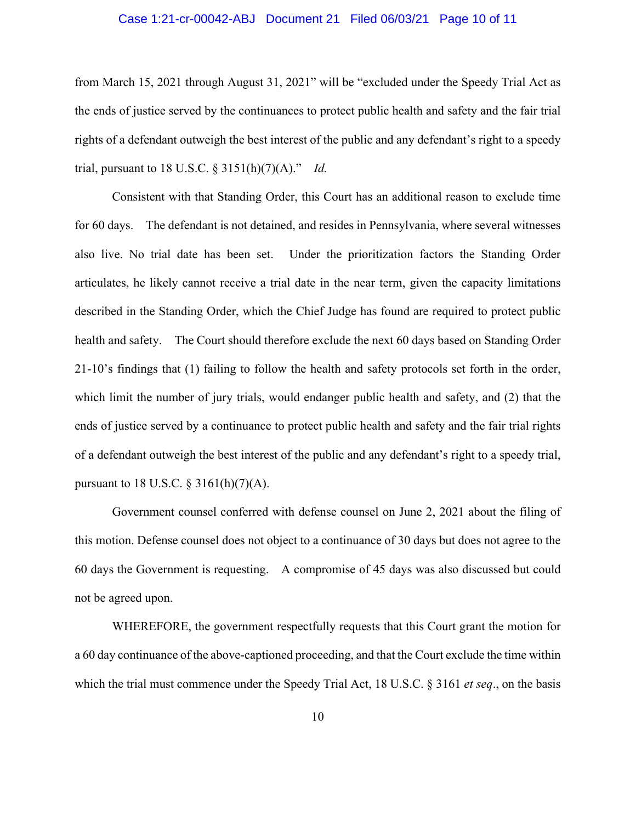## Case 1:21-cr-00042-ABJ Document 21 Filed 06/03/21 Page 10 of 11

from March 15, 2021 through August 31, 2021" will be "excluded under the Speedy Trial Act as the ends of justice served by the continuances to protect public health and safety and the fair trial rights of a defendant outweigh the best interest of the public and any defendant's right to a speedy trial, pursuant to 18 U.S.C. § 3151(h)(7)(A)." *Id.*

Consistent with that Standing Order, this Court has an additional reason to exclude time for 60 days. The defendant is not detained, and resides in Pennsylvania, where several witnesses also live. No trial date has been set. Under the prioritization factors the Standing Order articulates, he likely cannot receive a trial date in the near term, given the capacity limitations described in the Standing Order, which the Chief Judge has found are required to protect public health and safety. The Court should therefore exclude the next 60 days based on Standing Order 21-10's findings that (1) failing to follow the health and safety protocols set forth in the order, which limit the number of jury trials, would endanger public health and safety, and (2) that the ends of justice served by a continuance to protect public health and safety and the fair trial rights of a defendant outweigh the best interest of the public and any defendant's right to a speedy trial, pursuant to 18 U.S.C.  $\S$  3161(h)(7)(A).

Government counsel conferred with defense counsel on June 2, 2021 about the filing of this motion. Defense counsel does not object to a continuance of 30 days but does not agree to the 60 days the Government is requesting. A compromise of 45 days was also discussed but could not be agreed upon.

WHEREFORE, the government respectfully requests that this Court grant the motion for a 60 day continuance of the above-captioned proceeding, and that the Court exclude the time within which the trial must commence under the Speedy Trial Act, 18 U.S.C. § 3161 *et seq*., on the basis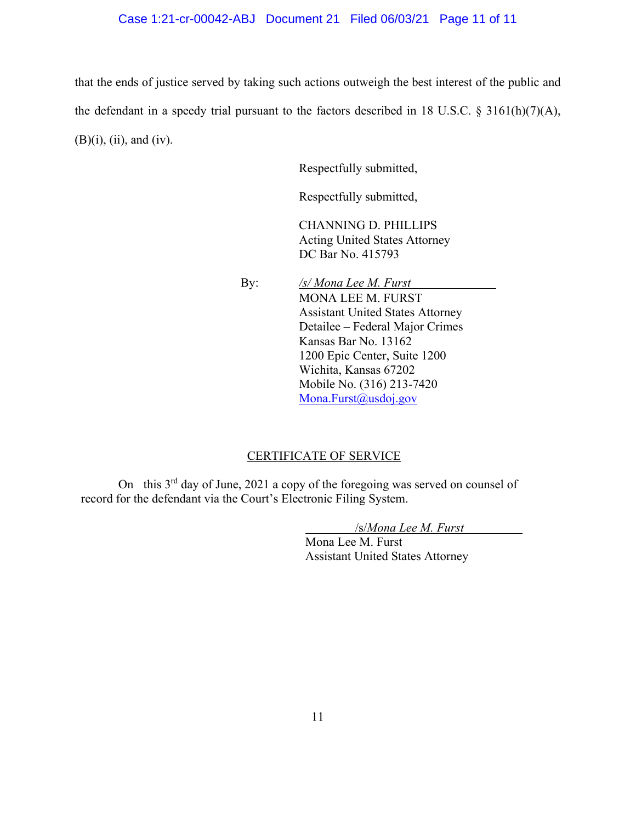# Case 1:21-cr-00042-ABJ Document 21 Filed 06/03/21 Page 11 of 11

that the ends of justice served by taking such actions outweigh the best interest of the public and the defendant in a speedy trial pursuant to the factors described in 18 U.S.C. § 3161(h)(7)(A),  $(B)(i)$ ,  $(ii)$ , and  $(iv)$ .

Respectfully submitted,

Respectfully submitted,

CHANNING D. PHILLIPS Acting United States Attorney DC Bar No. 415793

 By: */s/ Mona Lee M. Furst*  MONA LEE M. FURST Assistant United States Attorney Detailee – Federal Major Crimes Kansas Bar No. 13162 1200 Epic Center, Suite 1200 Wichita, Kansas 67202 Mobile No. (316) 213-7420 Mona.Furst@usdoj.gov

#### CERTIFICATE OF SERVICE

On this 3rd day of June, 2021 a copy of the foregoing was served on counsel of record for the defendant via the Court's Electronic Filing System.

/s/*Mona Lee M. Furst*

Mona Lee M. Furst Assistant United States Attorney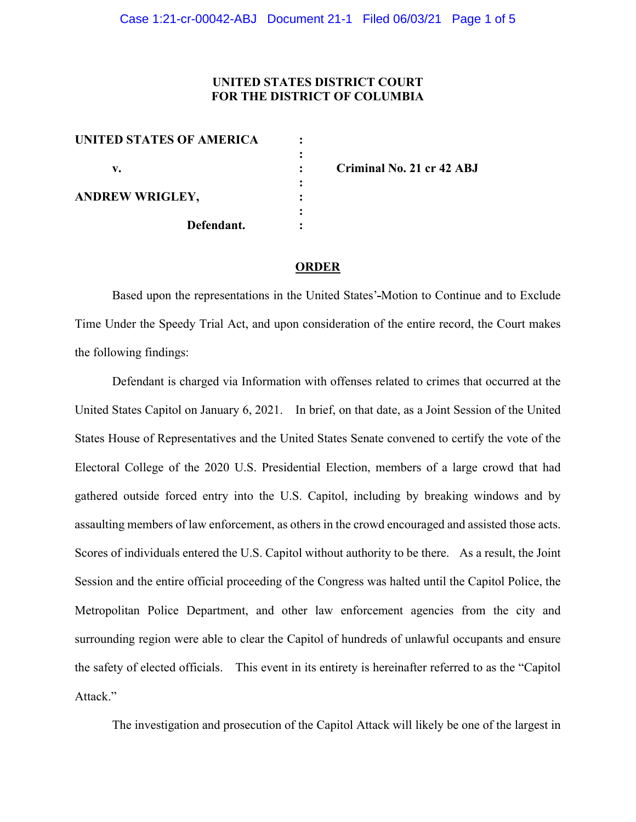# **UNITED STATES DISTRICT COURT FOR THE DISTRICT OF COLUMBIA**

| <b>UNITED STATES OF AMERICA</b> |            |  |
|---------------------------------|------------|--|
|                                 |            |  |
| v.                              |            |  |
|                                 |            |  |
| <b>ANDREW WRIGLEY,</b>          |            |  |
|                                 |            |  |
|                                 | Defendant. |  |
|                                 |            |  |

**v. : Criminal No. 21 cr 42 ABJ**

#### **ORDER**

Based upon the representations in the United States' Motion to Continue and to Exclude Time Under the Speedy Trial Act, and upon consideration of the entire record, the Court makes the following findings:

Defendant is charged via Information with offenses related to crimes that occurred at the United States Capitol on January 6, 2021. In brief, on that date, as a Joint Session of the United States House of Representatives and the United States Senate convened to certify the vote of the Electoral College of the 2020 U.S. Presidential Election, members of a large crowd that had gathered outside forced entry into the U.S. Capitol, including by breaking windows and by assaulting members of law enforcement, as others in the crowd encouraged and assisted those acts. Scores of individuals entered the U.S. Capitol without authority to be there. As a result, the Joint Session and the entire official proceeding of the Congress was halted until the Capitol Police, the Metropolitan Police Department, and other law enforcement agencies from the city and surrounding region were able to clear the Capitol of hundreds of unlawful occupants and ensure the safety of elected officials. This event in its entirety is hereinafter referred to as the "Capitol Attack."

The investigation and prosecution of the Capitol Attack will likely be one of the largest in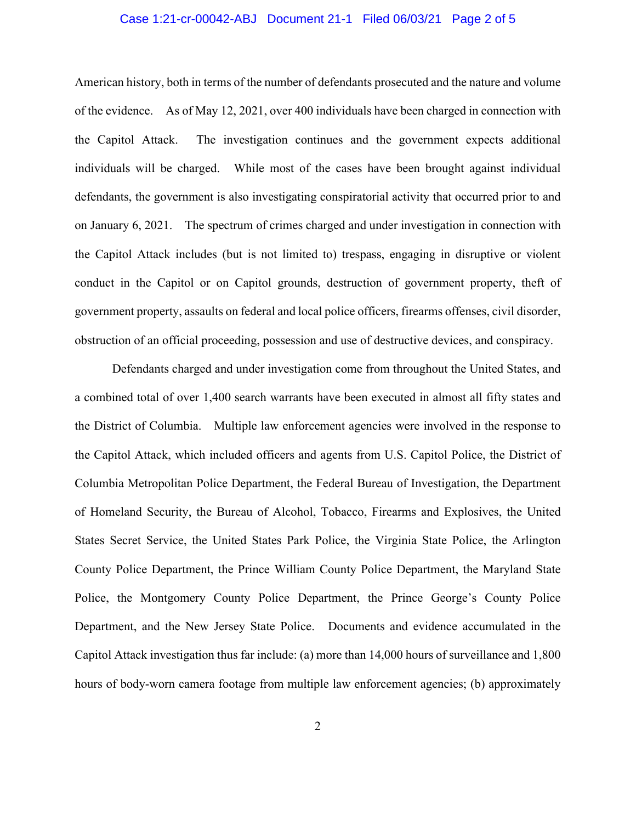# Case 1:21-cr-00042-ABJ Document 21-1 Filed 06/03/21 Page 2 of 5

American history, both in terms of the number of defendants prosecuted and the nature and volume of the evidence. As of May 12, 2021, over 400 individuals have been charged in connection with the Capitol Attack. The investigation continues and the government expects additional individuals will be charged. While most of the cases have been brought against individual defendants, the government is also investigating conspiratorial activity that occurred prior to and on January 6, 2021. The spectrum of crimes charged and under investigation in connection with the Capitol Attack includes (but is not limited to) trespass, engaging in disruptive or violent conduct in the Capitol or on Capitol grounds, destruction of government property, theft of government property, assaults on federal and local police officers, firearms offenses, civil disorder, obstruction of an official proceeding, possession and use of destructive devices, and conspiracy.

Defendants charged and under investigation come from throughout the United States, and a combined total of over 1,400 search warrants have been executed in almost all fifty states and the District of Columbia. Multiple law enforcement agencies were involved in the response to the Capitol Attack, which included officers and agents from U.S. Capitol Police, the District of Columbia Metropolitan Police Department, the Federal Bureau of Investigation, the Department of Homeland Security, the Bureau of Alcohol, Tobacco, Firearms and Explosives, the United States Secret Service, the United States Park Police, the Virginia State Police, the Arlington County Police Department, the Prince William County Police Department, the Maryland State Police, the Montgomery County Police Department, the Prince George's County Police Department, and the New Jersey State Police. Documents and evidence accumulated in the Capitol Attack investigation thus far include: (a) more than 14,000 hours of surveillance and 1,800 hours of body-worn camera footage from multiple law enforcement agencies; (b) approximately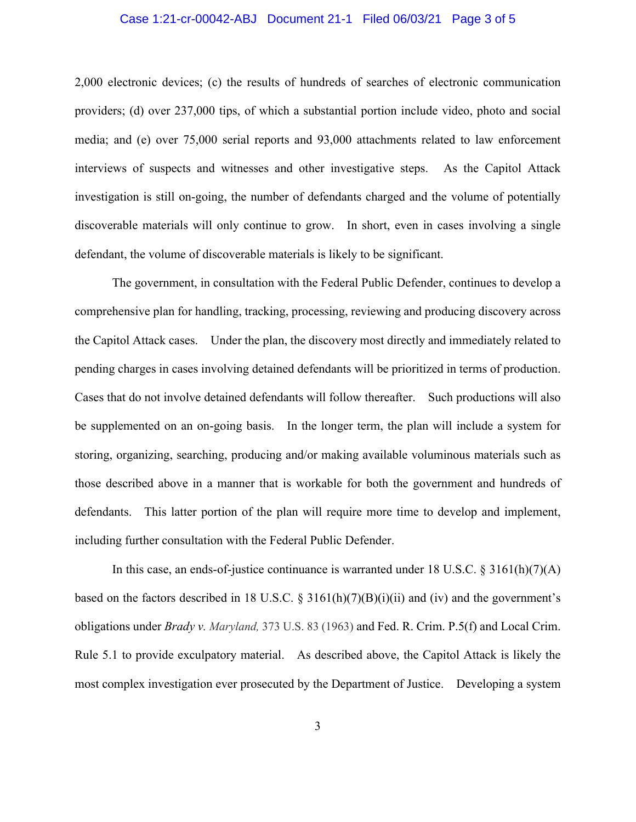# Case 1:21-cr-00042-ABJ Document 21-1 Filed 06/03/21 Page 3 of 5

2,000 electronic devices; (c) the results of hundreds of searches of electronic communication providers; (d) over 237,000 tips, of which a substantial portion include video, photo and social media; and (e) over 75,000 serial reports and 93,000 attachments related to law enforcement interviews of suspects and witnesses and other investigative steps. As the Capitol Attack investigation is still on-going, the number of defendants charged and the volume of potentially discoverable materials will only continue to grow. In short, even in cases involving a single defendant, the volume of discoverable materials is likely to be significant.

The government, in consultation with the Federal Public Defender, continues to develop a comprehensive plan for handling, tracking, processing, reviewing and producing discovery across the Capitol Attack cases. Under the plan, the discovery most directly and immediately related to pending charges in cases involving detained defendants will be prioritized in terms of production. Cases that do not involve detained defendants will follow thereafter. Such productions will also be supplemented on an on-going basis. In the longer term, the plan will include a system for storing, organizing, searching, producing and/or making available voluminous materials such as those described above in a manner that is workable for both the government and hundreds of defendants. This latter portion of the plan will require more time to develop and implement, including further consultation with the Federal Public Defender.

In this case, an ends-of-justice continuance is warranted under 18 U.S.C. § 3161(h)(7)(A) based on the factors described in 18 U.S.C.  $\S$  3161(h)(7)(B)(i)(ii) and (iv) and the government's obligations under *Brady v. Maryland,* 373 U.S. 83 (1963) and Fed. R. Crim. P.5(f) and Local Crim. Rule 5.1 to provide exculpatory material. As described above, the Capitol Attack is likely the most complex investigation ever prosecuted by the Department of Justice. Developing a system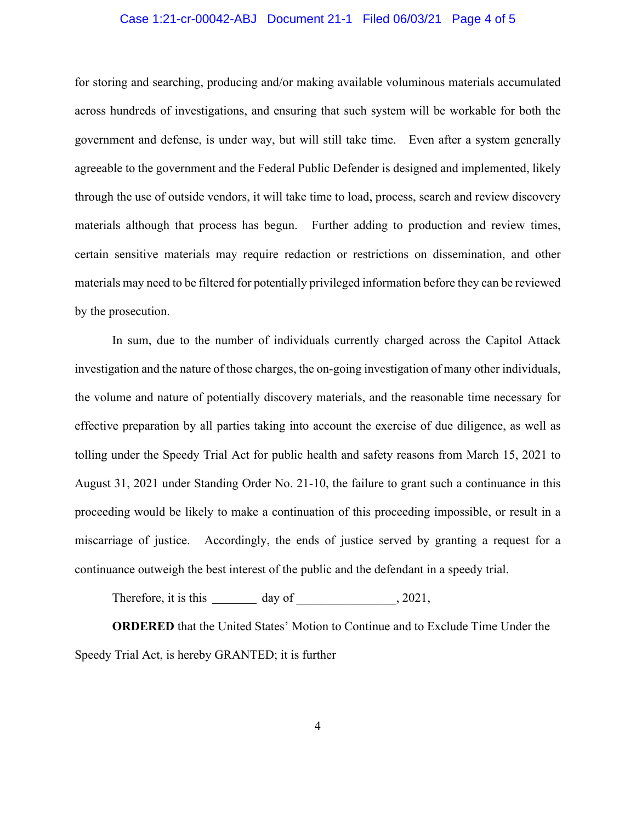# Case 1:21-cr-00042-ABJ Document 21-1 Filed 06/03/21 Page 4 of 5

for storing and searching, producing and/or making available voluminous materials accumulated across hundreds of investigations, and ensuring that such system will be workable for both the government and defense, is under way, but will still take time. Even after a system generally agreeable to the government and the Federal Public Defender is designed and implemented, likely through the use of outside vendors, it will take time to load, process, search and review discovery materials although that process has begun. Further adding to production and review times, certain sensitive materials may require redaction or restrictions on dissemination, and other materials may need to be filtered for potentially privileged information before they can be reviewed by the prosecution.

In sum, due to the number of individuals currently charged across the Capitol Attack investigation and the nature of those charges, the on-going investigation of many other individuals, the volume and nature of potentially discovery materials, and the reasonable time necessary for effective preparation by all parties taking into account the exercise of due diligence, as well as tolling under the Speedy Trial Act for public health and safety reasons from March 15, 2021 to August 31, 2021 under Standing Order No. 21-10, the failure to grant such a continuance in this proceeding would be likely to make a continuation of this proceeding impossible, or result in a miscarriage of justice. Accordingly, the ends of justice served by granting a request for a continuance outweigh the best interest of the public and the defendant in a speedy trial.

Therefore, it is this  $\qquad \qquad$  day of  $\qquad \qquad$ , 2021,

**ORDERED** that the United States' Motion to Continue and to Exclude Time Under the Speedy Trial Act, is hereby GRANTED; it is further